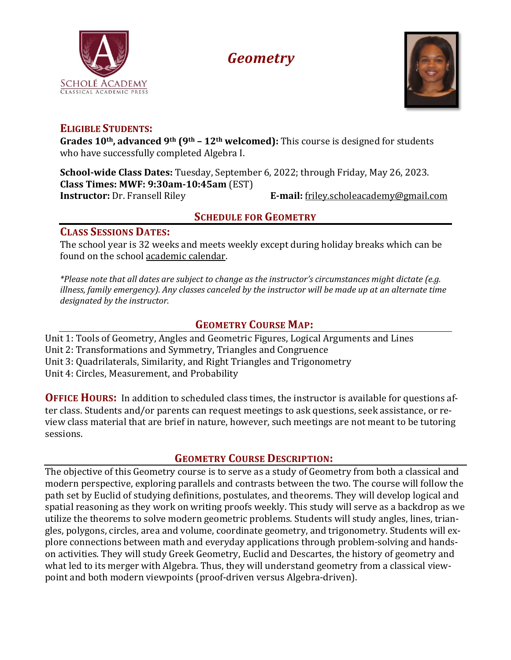

# *Geometry*



#### **ELIGIBLE STUDENTS:**

**Grades 10th, advanced 9th (9th – 12th welcomed):** This course is designed for students who have successfully completed Algebra I.

**School-wide Class Dates:** Tuesday, September 6, 2022; through Friday, May 26, 2023. **Class Times: MWF: 9:30am-10:45am** (EST)

**Instructor:** Dr. Fransell Riley **E-mail:** [friley.scholeacademy@gmail.com](mailto:friley.scholeacademy@gmail.com)

# **SCHEDULE FOR GEOMETRY**

## **CLASS SESSIONS DATES:**

The school year is 32 weeks and meets weekly except during holiday breaks which can be found on the school [academic](https://scholeacademy.com/academic-calendar/) calendar.

*\*Please note that all dates are subject to change as the instructor's circumstances might dictate (e.g. illness, family emergency). Any classes canceled by the instructor will be made up at an alternate time designated by the instructor.*

# **GEOMETRY COURSE MAP:**

Unit 1: Tools of Geometry, Angles and Geometric Figures, Logical Arguments and Lines Unit 2: Transformations and Symmetry, Triangles and Congruence Unit 3: Quadrilaterals, Similarity, and Right Triangles and Trigonometry Unit 4: Circles, Measurement, and Probability

**OFFICE HOURS:** In addition to scheduled class times, the instructor is available for questions after class. Students and/or parents can request meetings to ask questions, seek assistance, or review class material that are brief in nature, however, such meetings are not meant to be tutoring sessions.

# **GEOMETRY COURSE DESCRIPTION:**

The objective of this Geometry course is to serve as a study of Geometry from both a classical and modern perspective, exploring parallels and contrasts between the two. The course will follow the path set by Euclid of studying definitions, postulates, and theorems. They will develop logical and spatial reasoning as they work on writing proofs weekly. This study will serve as a backdrop as we utilize the theorems to solve modern geometric problems. Students will study angles, lines, triangles, polygons, circles, area and volume, coordinate geometry, and trigonometry. Students will explore connections between math and everyday applications through problem-solving and handson activities. They will study Greek Geometry, Euclid and Descartes, the history of geometry and what led to its merger with Algebra. Thus, they will understand geometry from a classical viewpoint and both modern viewpoints (proof-driven versus Algebra-driven).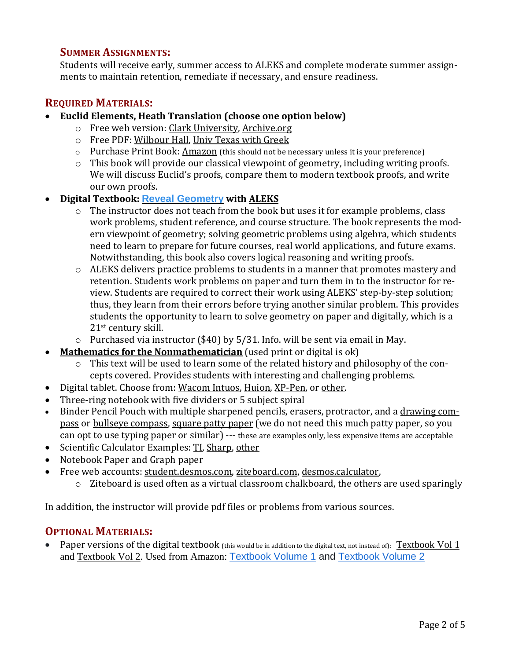#### **SUMMER ASSIGNMENTS:**

Students will receive early, summer access to ALEKS and complete moderate summer assignments to maintain retention, remediate if necessary, and ensure readiness.

## **REQUIRED MATERIALS:**

- **Euclid Elements, Heath Translation (choose one option below)**
	- o Free web version: Clark [University,](https://mathcs.clarku.edu/~djoyce/elements/toc.html) [Archive.org](https://archive.org/details/thirteenbookseu03heibgoog/page/n11/mode/2up)
	- o Free PDF: [Wilbour](https://www.wilbourhall.org/pdfs/Heath_Euclid_II.pdf) Hall, Univ Texas with [Greek](https://farside.ph.utexas.edu/books/Euclid/Elements.pdf)
	- o Purchase Print Book: [Amazon](https://www.amazon.com/Euclids-Elements-Euclid/dp/1888009195/ref=sr_1_3?crid=2SBZPX6Q6QPIC&keywords=euclid+elements&qid=1643420111&s=books&sprefix=euclid+elements%2Cstripbooks%2C95&sr=1-3) (this should not be necessary unless it is your preference)
	- o This book will provide our classical viewpoint of geometry, including writing proofs. We will discuss Euclid's proofs, compare them to modern textbook proofs, and write our own proofs.

#### • **Digital Textbook: Reveal [Geometry](https://www.mheducation.com/prek-12/program/microsites/MKTSP-GIP20M0/online-sampling-6-12.html) with [ALEKS](https://www.aleks.com/)**

- o The instructor does not teach from the book but uses it for example problems, class work problems, student reference, and course structure. The book represents the modern viewpoint of geometry; solving geometric problems using algebra, which students need to learn to prepare for future courses, real world applications, and future exams. Notwithstanding, this book also covers logical reasoning and writing proofs.
- o ALEKS delivers practice problems to students in a manner that promotes mastery and retention. Students work problems on paper and turn them in to the instructor for review. Students are required to correct their work using ALEKS' step-by-step solution; thus, they learn from their errors before trying another similar problem. This provides students the opportunity to learn to solve geometry on paper and digitally, which is a 21st century skill.
- o Purchased via instructor (\$40) by 5/31. Info. will be sent via email in May.
- **Mathematics for the [Nonmathematician](https://www.amazon.com/Mathematics-Nonmathematician-Morris-Kline/dp/0486248232/ref=sr_1_4?keywords=mathematics+for+the+non-mathematician&qid=1643413095&sprefix=mathematics+for+mathematicians%2Caps%2C123&sr=8-4)** (used print or digital is ok)
	- o This text will be used to learn some of the related history and philosophy of the concepts covered. Provides students with interesting and challenging problems.
- Digital tablet. Choose from: [Wacom](https://www.amazon.com/Wacom-Wireless-Software-Pistachio-CTL4100WLE0/dp/B079J7DCXN/ref=sr_1_2_sspa?crid=16N26PUPEMN1T&keywords=wacom%2Btablet&qid=1643413170&sprefix=wacom%2Btablet%2Caps%2C121&sr=8-2-spons&spLa=ZW5jcnlwdGVkUXVhbGlmaWVyPUExQlFWRkZLUzJNTlJLJmVuY3J5cHRlZElkPUEwMzIwNzA5SUgzUEpWSk9FTTI5JmVuY3J5cHRlZEFkSWQ9QTA2ODQ1MjAxRkM5NkhLVlJKMTEyJndpZGdldE5hbWU9c3BfYXRmJmFjdGlvbj1jbGlja1JlZGlyZWN0JmRvTm90TG9nQ2xpY2s9dHJ1ZQ&th=1) Intuos, [Huion,](https://www.amazon.com/Inspiroy-H640P-Graphics-Battery-Free-Sensitivity/dp/B075T6MTJX/ref=sr_1_1_sspa?crid=23ZG1NBBI8H8E&keywords=huion+tablet&qid=1643413206&sprefix=huiontablet%2Caps%2C119&sr=8-1-spons&psc=1&spLa=ZW5jcnlwdGVkUXVhbGlmaWVyPUEzS0gyNkFQUTJWMkczJmVuY3J5cHRlZElkPUEwNTg2NjY3MU1UWkdOSUdUQUg1VyZlbmNyeXB0ZWRBZElkPUEwNTY2NTUxMlo4TTFMSzk3UDlPTiZ3aWRnZXROYW1lPXNwX2F0ZiZhY3Rpb249Y2xpY2tSZWRpcmVjdCZkb05vdExvZ0NsaWNrPXRydWU=) [XP-Pen,](https://www.amazon.com/StarG640-Ultrathin-Graphics-Battery-Free-Pressure/dp/B078YR2MTF/ref=sr_1_4?crid=2BPMO9JW27NEY&keywords=digital+tablet&qid=1643413262&sprefix=digital+tablet%2Caps%2C120&sr=8-4) or [other.](https://www.amazon.com/s?k=digital+tablet&crid=2BPMO9JW27NEY&sprefix=digital+tablet%2Caps%2C120&ref=nb_sb_noss_1)
- Three-ring notebook with five dividers or 5 subject spiral
- Binder Pencil Pouch with multiple sharpened pencils, erasers, protractor, and a [drawing](https://www.amazon.com/Mr-Professional-Geometry-Drafting-Woodworking/dp/B086R77B7Y/ref=sr_1_1_sspa?crid=3S4SUZAM54B3F&keywords=compass+for+geometry&qid=1643421175&sprefix=compass%2Caps%2C160&sr=8-1-spons&psc=1&spLa=ZW5jcnlwdGVkUXVhbGlmaWVyPUFTQ0tUSEc5QjhBUDEmZW5jcnlwdGVkSWQ9QTAwMzg3MDAzVUVSRkNFUzkyQzk0JmVuY3J5cHRlZEFkSWQ9QTA3OTg0OTYxVk5aREdOOEtOTkxOJndpZGdldE5hbWU9c3BfYXRmJmFjdGlvbj1jbGlja1JlZGlyZWN0JmRvTm90TG9nQ2xpY2s9dHJ1ZQ==) com[pass](https://www.amazon.com/Mr-Professional-Geometry-Drafting-Woodworking/dp/B086R77B7Y/ref=sr_1_1_sspa?crid=3S4SUZAM54B3F&keywords=compass+for+geometry&qid=1643421175&sprefix=compass%2Caps%2C160&sr=8-1-spons&psc=1&spLa=ZW5jcnlwdGVkUXVhbGlmaWVyPUFTQ0tUSEc5QjhBUDEmZW5jcnlwdGVkSWQ9QTAwMzg3MDAzVUVSRkNFUzkyQzk0JmVuY3J5cHRlZEFkSWQ9QTA3OTg0OTYxVk5aREdOOEtOTkxOJndpZGdldE5hbWU9c3BfYXRmJmFjdGlvbj1jbGlja1JlZGlyZWN0JmRvTm90TG9nQ2xpY2s9dHJ1ZQ==) or bullseye [compass,](https://www.amazon.com/Learning-Resources-SAFE-T-Bullseye-Compass/dp/B0013PA13W/ref=sr_1_1_sspa?crid=1RMH2DLJE5S9Q&keywords=bullseye+compass&qid=1643420483&sprefix=bullseye+compass%2Caps%2C90&sr=8-1-spons&psc=1&spLa=ZW5jcnlwdGVkUXVhbGlmaWVyPUEzOTFURFdDRVREOUQmZW5jcnlwdGVkSWQ9QTAwMjMxMzAxTTJZQ1RURTNBQkQ4JmVuY3J5cHRlZEFkSWQ9QTAyNTA2NTIyNkQzMkg2UElIQk45JndpZGdldE5hbWU9c3BfYXRmJmFjdGlvbj1jbGlja1JlZGlyZWN0JmRvTm90TG9nQ2xpY2s9dHJ1ZQ==) [square](https://www.amazon.com/Pantryware-Essentials-Patty-Paper-1000ct/dp/B078YP5DBQ/ref=sr_1_5?crid=39XUACBLEWS36&keywords=patty+paper+geometry&qid=1643421070&sprefix=patty+paper+%2Caps%2C125&sr=8-5) patty paper (we do not need this much patty paper, so you can opt to use typing paper or similar) --- these are examples only, less expensive items are acceptable
- Scientific Calculator Examples: [TI,](https://www.amazon.com/Texas-Instruments-Scientific-Calculator-Accents/dp/B00000JBNX/ref=sr_1_4?crid=1YR7Z1860L5N8&keywords=scientific%2Bcalculator&qid=1643413403&sprefix=scientific%2Bcalculator%2Caps%2C126&sr=8-4&th=1) [Sharp,](https://www.amazon.com/Casio-fx-300ESPLS2-Scientific-Calculator-Textbook/dp/B086Z71GQ3/ref=sr_1_5?crid=1YR7Z1860L5N8&keywords=scientific+calculator&qid=1643413403&sprefix=scientific+calculator%2Caps%2C126&sr=8-5) [other](https://www.amazon.com/s?k=scientific+calculator&crid=1YR7Z1860L5N8&sprefix=scientific+calculator%2Caps%2C126&ref=nb_sb_noss_1)
- Notebook Paper and Graph paper
- Free web accounts: [student.desmos.com,](https://student.desmos.com/) [ziteboard.com,](https://ziteboard.com/) [desmos.calculator,](https://www.desmos.com/calculator)
	- $\circ$  Ziteboard is used often as a virtual classroom chalkboard, the others are used sparingly

In addition, the instructor will provide pdf files or problems from various sources.

## **OPTIONAL MATERIALS:**

Paper versions of the digital textbook (this would be in addition to the digital text, not instead of): [Textbook](https://www.mheducation.com/prek-12/product/reveal-geometry-interactive-student-edition-volume-1/0076626016.html) Vol 1 and [Textbook](https://www.mheducation.com/prek-12/product/reveal-geometry-interactive-student-edition-volume-2/0078997496.html) Vol 2. Used from Amazon: [Textbook](https://www.amazon.com/Geometry-Interactive-Student-MERRILL-GEOMETRY/dp/0076626016/ref=sr_1_10?crid=3RIHTBNQW09R6&keywords=reveal+math&qid=1643417758&s=books&sprefix=reveal+math%2Cstripbooks%2C74&sr=1-10) Volume 1 and [Textbook](https://www.amazon.com/Geometry-Interactive-Student-MERRILL-GEOMETRY/dp/0078997496/ref=sr_1_10?crid=1DALTT7F5IHRV&keywords=reveal+math+geometry&qid=1643417899&s=books&sprefix=reveal+math+geometry%2Cstripbooks%2C74&sr=1-10) Volume 2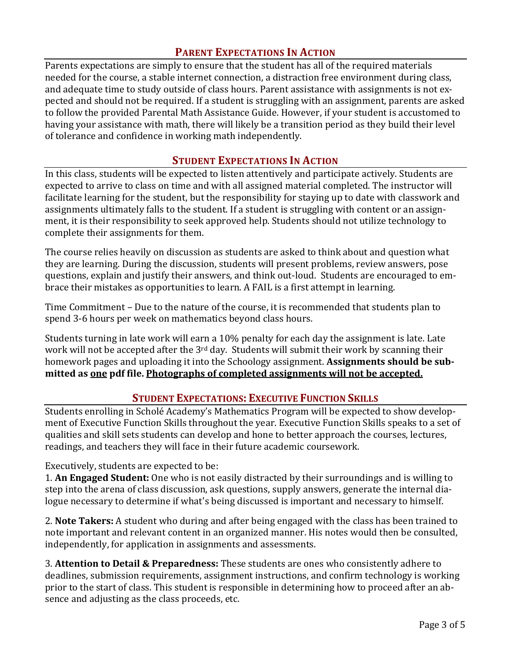## **PARENT EXPECTATIONS IN ACTION**

Parents expectations are simply to ensure that the student has all of the required materials needed for the course, a stable internet connection, a distraction free environment during class, and adequate time to study outside of class hours. Parent assistance with assignments is not expected and should not be required. If a student is struggling with an assignment, parents are asked to follow the provided Parental Math Assistance Guide. However, if your student is accustomed to having your assistance with math, there will likely be a transition period as they build their level of tolerance and confidence in working math independently.

#### **STUDENT EXPECTATIONS IN ACTION**

In this class, students will be expected to listen attentively and participate actively. Students are expected to arrive to class on time and with all assigned material completed. The instructor will facilitate learning for the student, but the responsibility for staying up to date with classwork and assignments ultimately falls to the student. If a student is struggling with content or an assignment, it is their responsibility to seek approved help. Students should not utilize technology to complete their assignments for them.

The course relies heavily on discussion as students are asked to think about and question what they are learning. During the discussion, students will present problems, review answers, pose questions, explain and justify their answers, and think out-loud. Students are encouraged to embrace their mistakes as opportunities to learn. A FAIL is a first attempt in learning.

Time Commitment – Due to the nature of the course, it is recommended that students plan to spend 3-6 hours per week on mathematics beyond class hours.

Students turning in late work will earn a 10% penalty for each day the assignment is late. Late work will not be accepted after the 3<sup>rd</sup> day. Students will submit their work by scanning their homework pages and uploading it into the Schoology assignment. **Assignments should be submitted as one pdf file. Photographs of completed assignments will not be accepted.**

#### **STUDENT EXPECTATIONS: EXECUTIVE FUNCTION SKILLS**

Students enrolling in Scholé Academy's Mathematics Program will be expected to show development of Executive Function Skills throughout the year. Executive Function Skills speaks to a set of qualities and skill sets students can develop and hone to better approach the courses, lectures, readings, and teachers they will face in their future academic coursework.

Executively, students are expected to be:

1. **An Engaged Student:** One who is not easily distracted by their surroundings and is willing to step into the arena of class discussion, ask questions, supply answers, generate the internal dialogue necessary to determine if what's being discussed is important and necessary to himself.

2. **Note Takers:** A student who during and after being engaged with the class has been trained to note important and relevant content in an organized manner. His notes would then be consulted, independently, for application in assignments and assessments.

3. **Attention to Detail & Preparedness:** These students are ones who consistently adhere to deadlines, submission requirements, assignment instructions, and confirm technology is working prior to the start of class. This student is responsible in determining how to proceed after an absence and adjusting as the class proceeds, etc.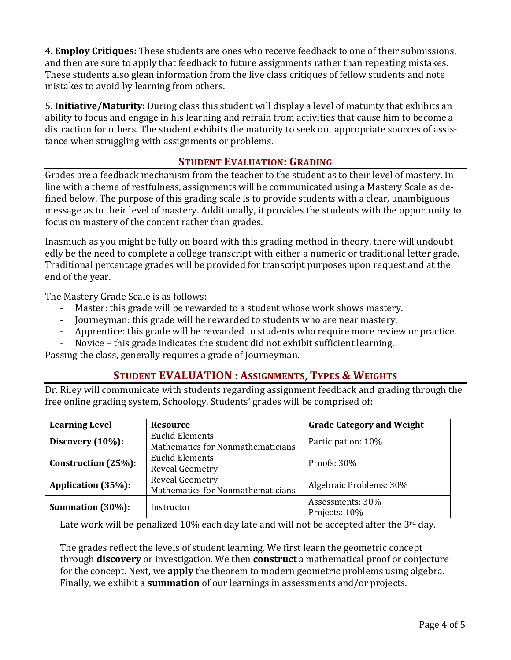4. **Employ Critiques:** These students are ones who receive feedback to one of their submissions, and then are sure to apply that feedback to future assignments rather than repeating mistakes. These students also glean information from the live class critiques of fellow students and note mistakes to avoid by learning from others.

5. **Initiative/Maturity:** During class this student will display a level of maturity that exhibits an ability to focus and engage in his learning and refrain from activities that cause him to become a distraction for others. The student exhibits the maturity to seek out appropriate sources of assistance when struggling with assignments or problems.

#### **STUDENT EVALUATION: GRADING**

Grades are a feedback mechanism from the teacher to the student as to their level of mastery. In line with a theme of restfulness, assignments will be communicated using a Mastery Scale as defined below. The purpose of this grading scale is to provide students with a clear, unambiguous message as to their level of mastery. Additionally, it provides the students with the opportunity to focus on mastery of the content rather than grades.

Inasmuch as you might be fully on board with this grading method in theory, there will undoubtedly be the need to complete a college transcript with either a numeric or traditional letter grade. Traditional percentage grades will be provided for transcript purposes upon request and at the end of the year.

The Mastery Grade Scale is as follows:

- Master: this grade will be rewarded to a student whose work shows mastery.
- Journeyman: this grade will be rewarded to students who are near mastery.
- Apprentice: this grade will be rewarded to students who require more review or practice.
- Novice this grade indicates the student did not exhibit sufficient learning.

Passing the class, generally requires a grade of Journeyman.

## **STUDENT EVALUATION : ASSIGNMENTS, TYPES & WEIGHTS**

Dr. Riley will communicate with students regarding assignment feedback and grading through the free online grading system, Schoology. Students' grades will be comprised of:

| <b>Learning Level</b> | <b>Resource</b>                                             | <b>Grade Category and Weight</b>  |
|-----------------------|-------------------------------------------------------------|-----------------------------------|
| Discovery $(10\%)$ :  | <b>Euclid Elements</b><br>Mathematics for Nonmathematicians | Participation: 10%                |
| Construction (25%):   | Euclid Elements<br>Reveal Geometry                          | Proofs: 30%                       |
| Application (35%):    | <b>Reveal Geometry</b><br>Mathematics for Nonmathematicians | Algebraic Problems: 30%           |
| Summation (30%):      | Instructor                                                  | Assessments: 30%<br>Projects: 10% |

Late work will be penalized 10% each day late and will not be accepted after the 3<sup>rd</sup> day.

The grades reflect the levels of student learning. We first learn the geometric concept through **discovery** or investigation. We then **construct** a mathematical proof or conjecture for the concept. Next, we **apply** the theorem to modern geometric problems using algebra. Finally, we exhibit a **summation** of our learnings in assessments and/or projects.